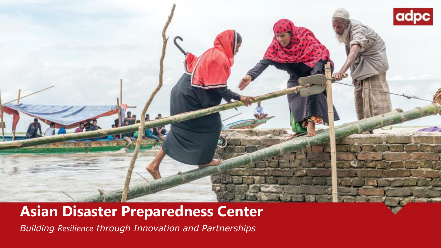

#### **Asian Disaster Preparedness Center**

*Building Resilience through Innovation and Partnerships*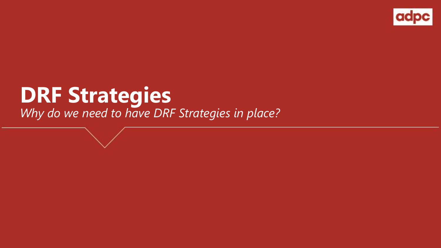

# **DRF Strategies** *Why do we need to have DRF Strategies in place?*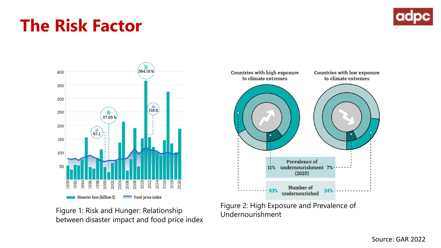# **The Risk Factor**





Figure 1: Risk and Hunger: Relationship<br>Undernourishment between disaster impact and food price index



Figure 2: High Exposure and Prevalence of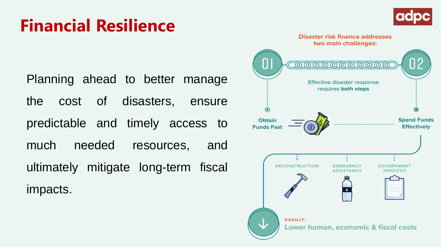# **Financial Resilience**





Planning ahead to better manage the cost of disasters, ensure predictable and timely access to much needed resources, and ultimately mitigate long-term fiscal impacts.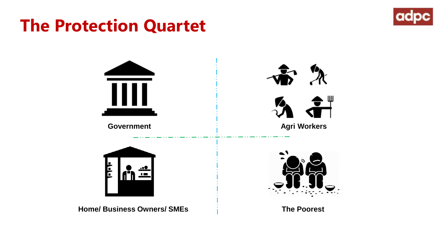# **The Protection Quartet**



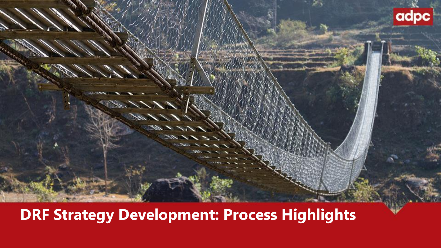

### **DRF Strategy Development: Process Highlights**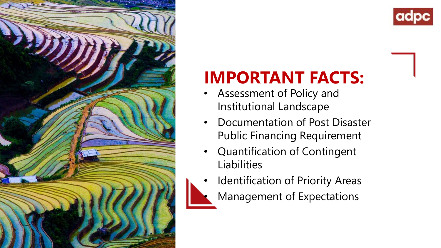

# **IMPORTANT FACTS:**

- Assessment of Policy and Institutional Landscape
- Documentation of Post Disaster Public Financing Requirement
- Quantification of Contingent Liabilities
- Identification of Priority Areas • Management of Expectations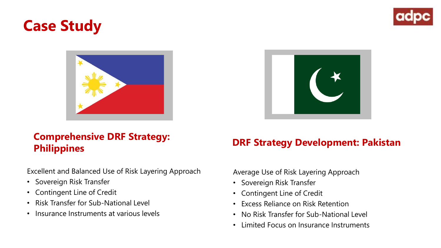### **Case Study**



#### **Comprehensive DRF Strategy: Philippines DRF Strategy Development: Pakistan**

Excellent and Balanced Use of Risk Layering Approach

- Sovereign Risk Transfer
- Contingent Line of Credit
- Risk Transfer for Sub-National Level
- Insurance Instruments at various levels

Average Use of Risk Layering Approach

- Sovereign Risk Transfer
- Contingent Line of Credit
- Excess Reliance on Risk Retention
- No Risk Transfer for Sub-National Level
- Limited Focus on Insurance Instruments